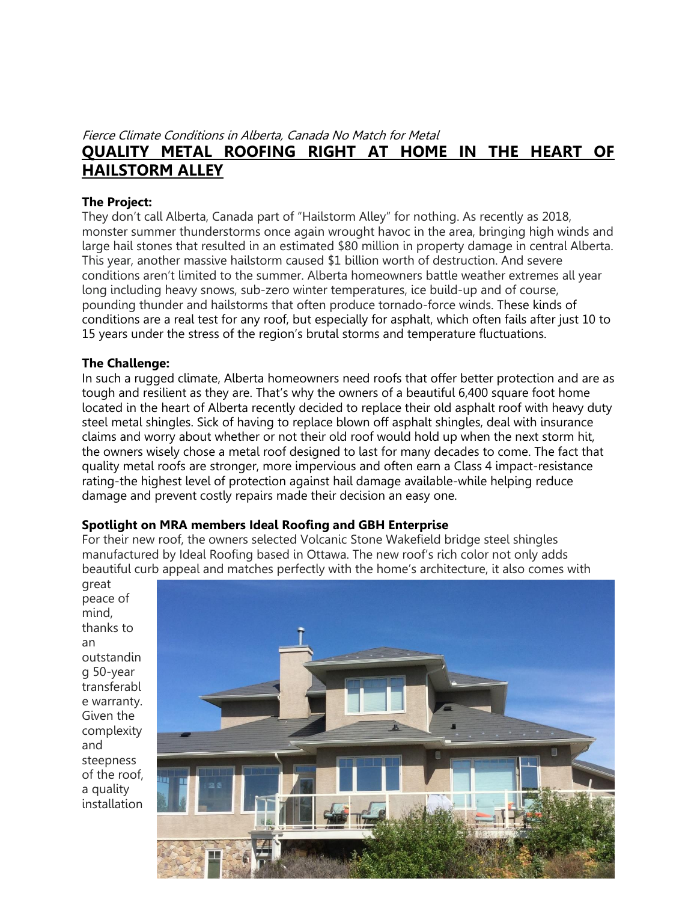# Fierce Climate Conditions in Alberta, Canada No Match for Metal **QUALITY METAL ROOFING RIGHT AT HOME IN THE HEART OF HAILSTORM ALLEY**

## **The Project:**

They don't call Alberta, Canada part of "Hailstorm Alley" for nothing. As recently as 2018, monster summer thunderstorms once again wrought havoc in the area, bringing high winds and large hail stones that resulted in an estimated \$80 million in property damage in central Alberta. This year, another massive hailstorm caused \$1 billion worth of destruction. And severe conditions aren't limited to the summer. Alberta homeowners battle weather extremes all year long including heavy snows, sub-zero winter temperatures, ice build-up and of course, pounding thunder and hailstorms that often produce tornado-force winds. These kinds of conditions are a real test for any roof, but especially for asphalt, which often fails after just 10 to 15 years under the stress of the region's brutal storms and temperature fluctuations.

## **The Challenge:**

In such a rugged climate, Alberta homeowners need roofs that offer better protection and are as tough and resilient as they are. That's why the owners of a beautiful 6,400 square foot home located in the heart of Alberta recently decided to replace their old asphalt roof with heavy duty steel metal shingles. Sick of having to replace blown off asphalt shingles, deal with insurance claims and worry about whether or not their old roof would hold up when the next storm hit, the owners wisely chose a metal roof designed to last for many decades to come. The fact that quality metal roofs are stronger, more impervious and often earn a Class 4 impact-resistance rating-the highest level of protection against hail damage available-while helping reduce damage and prevent costly repairs made their decision an easy one.

## **Spotlight on MRA members Ideal Roofing and GBH Enterprise**

For their new roof, the owners selected Volcanic Stone Wakefield bridge steel shingles manufactured by Ideal Roofing based in Ottawa. The new roof's rich color not only adds beautiful curb appeal and matches perfectly with the home's architecture, it also comes with

great peace of mind, thanks to an outstandin g 50-year transferabl e warranty. Given the complexity and steepness of the roof, a quality installation